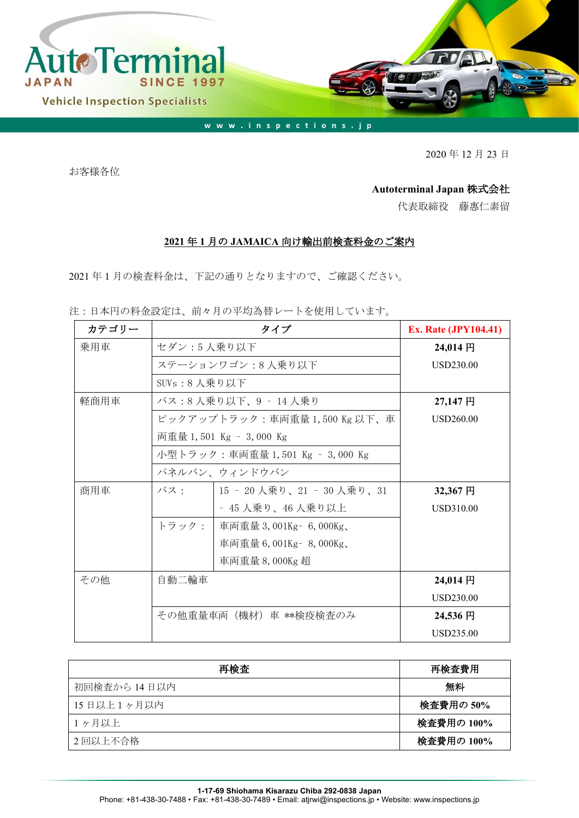

2020 年 12 月 23 日

お客様各位

## **Autoterminal Japan** 株式会社

代表取締役 藤惠仁素留

## **2021** 年 **1** 月の **JAMAICA** 向け輸出前検査料金のご案内

2021 年 1 月の検査料金は、下記の通りとなりますので、ご確認ください。

注:日本円の料金設定は、前々月の平均為替レートを使用しています。

| カテゴリー | タイプ                           |                                 | <b>Ex. Rate (JPY104.41)</b> |
|-------|-------------------------------|---------------------------------|-----------------------------|
| 乗用車   | セダン:5人乗り以下                    |                                 | $24,014$ 円                  |
|       | ステーションワゴン:8人乗り以下              | USD230.00                       |                             |
|       | SUVs:8 人乗り以下                  |                                 |                             |
| 軽商用車  | バス:8人乗り以下、9 - 14人乗り           | 27,147円                         |                             |
|       | ピックアップトラック:車両重量 1,500 Kg 以下、車 | <b>USD260.00</b>                |                             |
|       |                               | 両重量 1,501 Kg - 3,000 Kg         |                             |
|       |                               | 小型トラック:車両重量 1,501 Kg – 3,000 Kg |                             |
|       |                               | パネルバン、ウィンドウバン                   |                             |
| 商用車   | バス・                           | 15 - 20 人乗り、21 - 30 人乗り、31      | 32,367円                     |
|       |                               | - 45 人乗り、46 人乗り以上               | <b>USD310.00</b>            |
|       | トラック:                         | 車両重量 3,001Kg - 6,000Kg、         |                             |
|       |                               | 車両重量 6,001Kg - 8,000Kg、         |                             |
|       |                               | 車両重量 8,000Kg 超                  |                             |
| その他   | 自動二輪車                         |                                 | $24,014$ 円                  |
|       |                               |                                 | <b>USD230.00</b>            |
|       | その他重量車両(機材)車 **検疫検査のみ         |                                 | 24,536円                     |
|       |                               |                                 | <b>USD235.00</b>            |

| 再検査          | 再検査費用      |
|--------------|------------|
| 初回検査から 14日以内 | 無料         |
| 15日以上1ヶ月以内   | 検査費用の 50%  |
| 1ヶ月以上        | 検査費用の 100% |
| 2回以上不合格      | 検査費用の 100% |